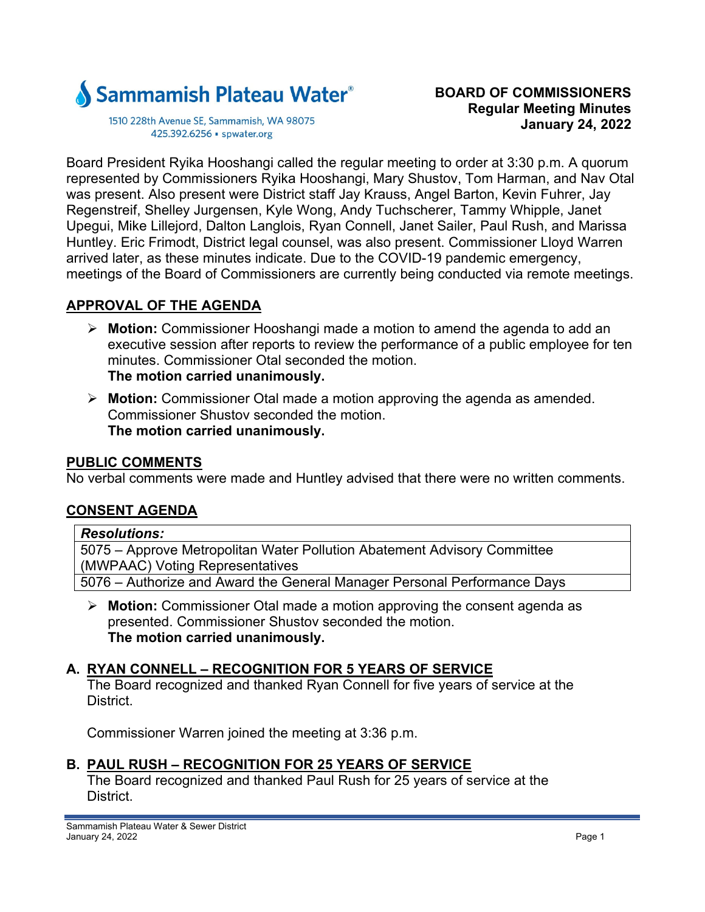

1510 228th Avenue SE, Sammamish, WA 98075 425.392.6256 · spwater.org

Board President Ryika Hooshangi called the regular meeting to order at 3:30 p.m. A quorum represented by Commissioners Ryika Hooshangi, Mary Shustov, Tom Harman, and Nav Otal was present. Also present were District staff Jay Krauss, Angel Barton, Kevin Fuhrer, Jay Regenstreif, Shelley Jurgensen, Kyle Wong, Andy Tuchscherer, Tammy Whipple, Janet Upegui, Mike Lillejord, Dalton Langlois, Ryan Connell, Janet Sailer, Paul Rush, and Marissa Huntley. Eric Frimodt, District legal counsel, was also present. Commissioner Lloyd Warren arrived later, as these minutes indicate. Due to the COVID-19 pandemic emergency, meetings of the Board of Commissioners are currently being conducted via remote meetings.

### **APPROVAL OF THE AGENDA**

- **Motion:** Commissioner Hooshangi made a motion to amend the agenda to add an executive session after reports to review the performance of a public employee for ten minutes. Commissioner Otal seconded the motion. **The motion carried unanimously.**
- **Motion:** Commissioner Otal made a motion approving the agenda as amended. Commissioner Shustov seconded the motion. **The motion carried unanimously.**

#### **PUBLIC COMMENTS**

No verbal comments were made and Huntley advised that there were no written comments.

### **CONSENT AGENDA**

#### *Resolutions:*

5075 – Approve Metropolitan Water Pollution Abatement Advisory Committee (MWPAAC) Voting Representatives

5076 – Authorize and Award the General Manager Personal Performance Days

 **Motion:** Commissioner Otal made a motion approving the consent agenda as presented. Commissioner Shustov seconded the motion. **The motion carried unanimously.** 

### **A. RYAN CONNELL – RECOGNITION FOR 5 YEARS OF SERVICE**

The Board recognized and thanked Ryan Connell for five years of service at the **District** 

Commissioner Warren joined the meeting at 3:36 p.m.

### **B. PAUL RUSH – RECOGNITION FOR 25 YEARS OF SERVICE**

The Board recognized and thanked Paul Rush for 25 years of service at the District.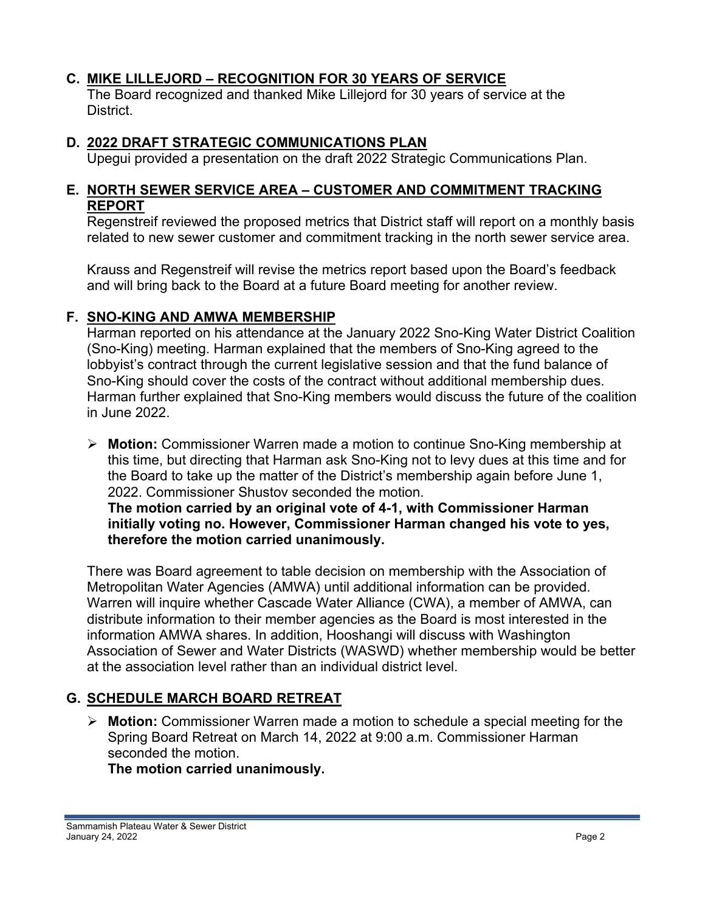### **C. MIKE LILLEJORD – RECOGNITION FOR 30 YEARS OF SERVICE**

The Board recognized and thanked Mike Lillejord for 30 years of service at the District.

### **D. 2022 DRAFT STRATEGIC COMMUNICATIONS PLAN**

Upegui provided a presentation on the draft 2022 Strategic Communications Plan.

#### **E. NORTH SEWER SERVICE AREA – CUSTOMER AND COMMITMENT TRACKING REPORT**

Regenstreif reviewed the proposed metrics that District staff will report on a monthly basis related to new sewer customer and commitment tracking in the north sewer service area.

Krauss and Regenstreif will revise the metrics report based upon the Board's feedback and will bring back to the Board at a future Board meeting for another review.

### **F. SNO-KING AND AMWA MEMBERSHIP**

Harman reported on his attendance at the January 2022 Sno-King Water District Coalition (Sno-King) meeting. Harman explained that the members of Sno-King agreed to the lobbyist's contract through the current legislative session and that the fund balance of Sno-King should cover the costs of the contract without additional membership dues. Harman further explained that Sno-King members would discuss the future of the coalition in June 2022.

 **Motion:** Commissioner Warren made a motion to continue Sno-King membership at this time, but directing that Harman ask Sno-King not to levy dues at this time and for the Board to take up the matter of the District's membership again before June 1, 2022. Commissioner Shustov seconded the motion. **The motion carried by an original vote of 4-1, with Commissioner Harman initially voting no. However, Commissioner Harman changed his vote to yes, therefore the motion carried unanimously.** 

There was Board agreement to table decision on membership with the Association of Metropolitan Water Agencies (AMWA) until additional information can be provided. Warren will inquire whether Cascade Water Alliance (CWA), a member of AMWA, can distribute information to their member agencies as the Board is most interested in the information AMWA shares. In addition, Hooshangi will discuss with Washington Association of Sewer and Water Districts (WASWD) whether membership would be better at the association level rather than an individual district level.

# **G. SCHEDULE MARCH BOARD RETREAT**

 **Motion:** Commissioner Warren made a motion to schedule a special meeting for the Spring Board Retreat on March 14, 2022 at 9:00 a.m. Commissioner Harman seconded the motion.

### **The motion carried unanimously.**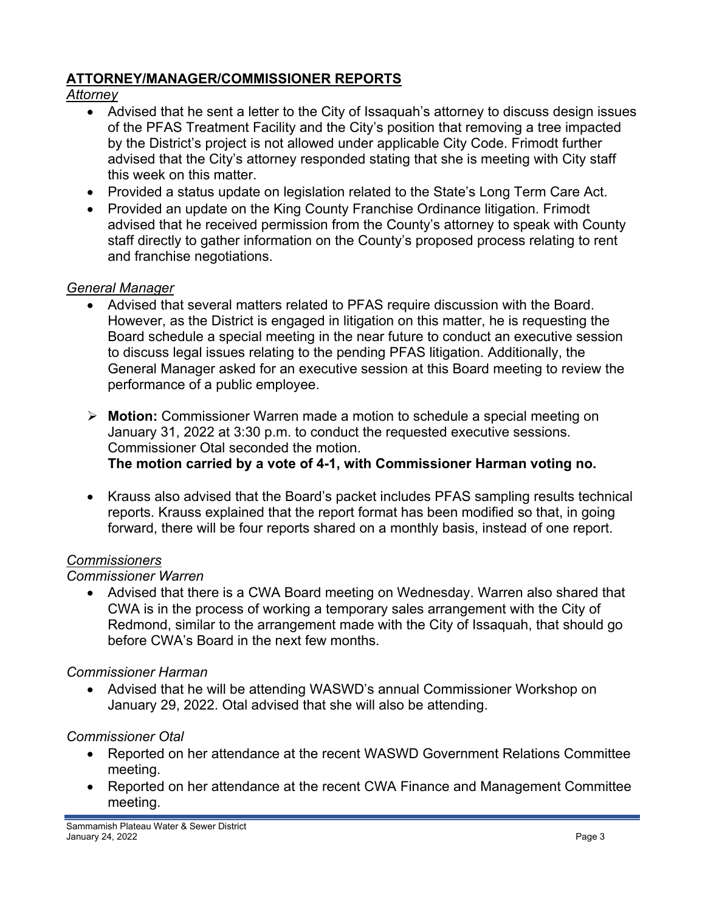### **ATTORNEY/MANAGER/COMMISSIONER REPORTS**

## *Attorney*

- Advised that he sent a letter to the City of Issaquah's attorney to discuss design issues of the PFAS Treatment Facility and the City's position that removing a tree impacted by the District's project is not allowed under applicable City Code. Frimodt further advised that the City's attorney responded stating that she is meeting with City staff this week on this matter.
- Provided a status update on legislation related to the State's Long Term Care Act.
- Provided an update on the King County Franchise Ordinance litigation. Frimodt advised that he received permission from the County's attorney to speak with County staff directly to gather information on the County's proposed process relating to rent and franchise negotiations.

## *General Manager*

- Advised that several matters related to PFAS require discussion with the Board. However, as the District is engaged in litigation on this matter, he is requesting the Board schedule a special meeting in the near future to conduct an executive session to discuss legal issues relating to the pending PFAS litigation. Additionally, the General Manager asked for an executive session at this Board meeting to review the performance of a public employee.
- **Motion:** Commissioner Warren made a motion to schedule a special meeting on January 31, 2022 at 3:30 p.m. to conduct the requested executive sessions. Commissioner Otal seconded the motion. **The motion carried by a vote of 4-1, with Commissioner Harman voting no.**
- Krauss also advised that the Board's packet includes PFAS sampling results technical reports. Krauss explained that the report format has been modified so that, in going forward, there will be four reports shared on a monthly basis, instead of one report.

### *Commissioners*

### *Commissioner Warren*

 Advised that there is a CWA Board meeting on Wednesday. Warren also shared that CWA is in the process of working a temporary sales arrangement with the City of Redmond, similar to the arrangement made with the City of Issaquah, that should go before CWA's Board in the next few months.

# *Commissioner Harman*

 Advised that he will be attending WASWD's annual Commissioner Workshop on January 29, 2022. Otal advised that she will also be attending.

# *Commissioner Otal*

- Reported on her attendance at the recent WASWD Government Relations Committee meeting.
- Reported on her attendance at the recent CWA Finance and Management Committee meeting.